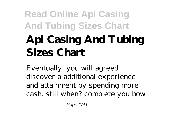## **Api Casing And Tubing Sizes Chart**

Eventually, you will agreed discover a additional experience and attainment by spending more cash. still when? complete you bow

Page 1/41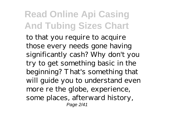to that you require to acquire those every needs gone having significantly cash? Why don't you try to get something basic in the beginning? That's something that will guide you to understand even more re the globe, experience, some places, afterward history, Page 2/41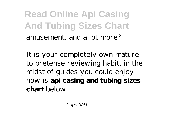**Read Online Api Casing And Tubing Sizes Chart** amusement, and a lot more?

It is your completely own mature to pretense reviewing habit. in the midst of guides you could enjoy now is **api casing and tubing sizes chart** below.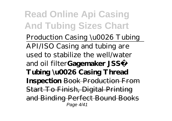*Production Casing \u0026 Tubing* API/ISO Casing and tubing are used to stabilize the well/water and oil filter**Gagemaker JSS® Tubing \u0026 Casing Thread Inspection** Book Production From Start To Finish, Digital Printing and Binding Perfect Bound Books Page 4/41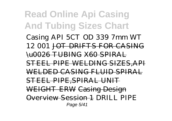*Casing API 5CT OD 339 7mm WT 12 001* JOT DRIFTS FOR CASING \u0026 TUBING X60 SPIRAL STEEL PIPE WELDING SIZES,API WELDED CASING FLUID SPIRAL STEEL PIPE,SPIRAL UNIT WEIGHT ERW Casing Design Overview Session 1 *DRILL PIPE* Page 5/41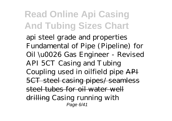*api steel grade and properties Fundamental of Pipe (Pipeline) for Oil \u0026 Gas Engineer - Revised API 5CT Casing and Tubing Coupling used in oilfield pipe* API 5CT steel casing pipes/ seamless steel tubes for oil water well drilling *Casing running with* Page 6/41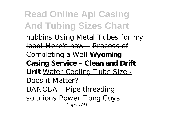*nubbins* Using Metal Tubes for my loop! Here's how... Process of Completing a Well **Wyoming Casing Service - Clean and Drift Unit** Water Cooling Tube Size - Does it Matter?

DANOBAT Pipe threading solutions Power Tong Guys Page 7/41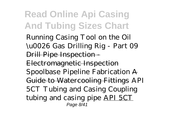Running Casing Tool on the Oil \u0026 Gas Drilling Rig - Part 09 Drill Pipe Inspection - Electromagnetic Inspection *Spoolbase Pipeline Fabrication* A Guide to Watercooling Fittings *API 5CT Tubing and Casing Coupling tubing and casing pipe* API 5CT Page 8/41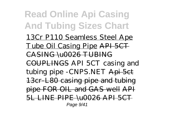**Read Online Api Casing And Tubing Sizes Chart** 13Cr P110 Seamless Steel Ape Tube Oil Casing Pipe API 5CT CASING \u0026 TUBING COUPLINGS API 5CT casing and tubing pipe - CNPS.NET Api 5 et 13cr-L80 casing pipe and tubing pipe FOR OIL and GAS well API 5L LINE PIPE \u0026 API 5CT Page 9/41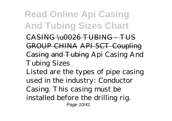CASING \u0026 TUBING - TUS GROUP CHINA API 5CT Coupling Casing and Tubing Api Casing And Tubing Sizes Listed are the types of pipe casing

used in the industry: Conductor

Casing. This casing must be installed before the drilling rig.

Page 10/41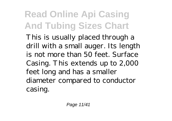This is usually placed through a drill with a small auger. Its length is not more than 50 feet. Surface Casing. This extends up to 2,000 feet long and has a smaller diameter compared to conductor casing.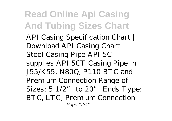API Casing Specification Chart | Download API Casing Chart Steel Casing Pipe API 5CT supplies API 5CT Casing Pipe in J55/K55, N80Q, P110 BTC and Premium Connection Range of Sizes:  $5 \frac{1}{2}$ " to  $20$ " Ends Type: BTC, LTC, Premium Connection Page 12/41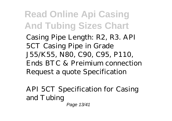Casing Pipe Length: R2, R3. API 5CT Casing Pipe in Grade J55/K55, N80, C90, C95, P110, Ends BTC & Preimium connection Request a quote Specification

API 5CT Specification for Casing and Tubing Page 13/41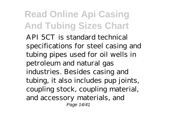API 5CT is standard technical specifications for steel casing and tubing pipes used for oil wells in petroleum and natural gas industries. Besides casing and tubing, it also includes pup joints, coupling stock, coupling material, and accessory materials, and Page 14/41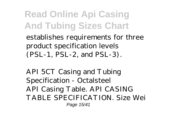establishes requirements for three product specification levels (PSL-1, PSL-2, and PSL-3).

API 5CT Casing and Tubing Specification - Octalsteel API Casing Table. API CASING TABLE SPECIFICATION. Size Wei Page 15/41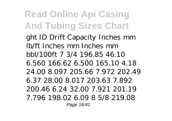ght ID Drift Capacity Inches mm lb/ft Inches mm Inches mm bbl/100ft 7 3/4 196.85 46.10 6.560 166.62 6.500 165.10 4.18 24.00 8.097 205.66 7.972 202.49 6.37 28.00 8.017 203.63 7.892 200.46 6.24 32.00 7.921 201.19 7.796 198.02 6.09 8 5/8 219.08 Page 16/41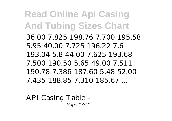36.00 7.825 198.76 7.700 195.58 5.95 40.00 7.725 196.22 7.6 193.04 5.8 44.00 7.625 193.68 7.500 190.50 5.65 49.00 7.511 190.78 7.386 187.60 5.48 52.00 7.435 188.85 7.310 185.67 ...

API Casing Table - Page 17/41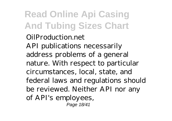OilProduction.net API publications necessarily address problems of a general nature. With respect to particular circumstances, local, state, and federal laws and regulations should be reviewed. Neither API nor any of API's employees, Page 18/41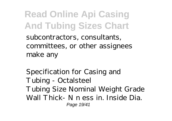subcontractors, consultants, committees, or other assignees make any

Specification for Casing and Tubing - Octalsteel Tubing Size Nominal Weight Grade Wall Thick- N n ess in. Inside Dia. Page 19/41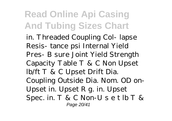in. Threaded Coupling Col- lapse Resis- tance psi Internal Yield Pres- B sure Joint Yield Strength Capacity Table T & C Non Upset lb/ft T & C Upset Drift Dia. Coupling Outside Dia. Nom. OD on-Upset in. Upset R g. in. Upset Spec. in. T & C Non-U s e t lb T & Page 20/41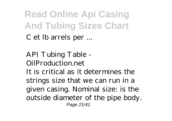C et lb arrels per ...

API Tubing Table - OilProduction.net It is critical as it determines the strings size that we can run in a given casing. Nominal size: is the outside diameter of the pipe body. Page 21/41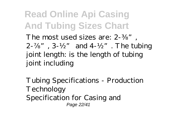The most used sizes are: 2- " 2-  $\degree$ , 3-½ $\degree$  and 4-½ $\degree$ . The tubing joint length: is the length of tubing joint including

Tubing Specifications - Production Technology Specification for Casing and Page 22/41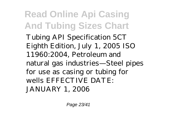Tubing API Specification 5CT Eighth Edition, July 1, 2005 ISO 11960:2004, Petroleum and natural gas industries—Steel pipes for use as casing or tubing for wells EFFECTIVE DATE: JANUARY 1, 2006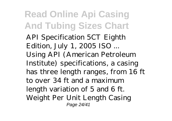API Specification 5CT Eighth Edition, July 1, 2005 ISO ... Using API (American Petroleum Institute) specifications, a casing has three length ranges, from 16 ft to over 34 ft and a maximum length variation of 5 and 6 ft. Weight Per Unit Length Casing Page 24/41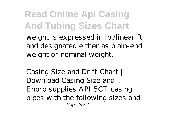weight is expressed in lb./linear ft and designated either as plain-end weight or nominal weight.

Casing Size and Drift Chart | Download Casing Size and ... Enpro supplies API 5CT casing pipes with the following sizes and Page 25/41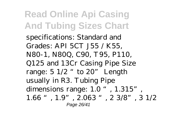specifications: Standard and Grades: API 5CT J55 / K55, N80-1, N80Q, C90, T95, P110, Q125 and 13Cr Casing Pipe Size range:  $5 \frac{1}{2}$  "to  $20$ " Length usually in R3. Tubing Pipe dimensions range:  $1.0$  ",  $1.315$ " 1.66 ", 1.9", 2.063 ", 2 3/8", 3 1/2 Page 26/41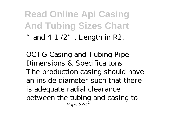#### **Read Online Api Casing And Tubing Sizes Chart** " and  $4 \frac{1}{2}$ ", Length in R2.

OCTG Casing and Tubing Pipe Dimensions & Specificaitons ... The production casing should have an inside diameter such that there is adequate radial clearance between the tubing and casing to Page 27/41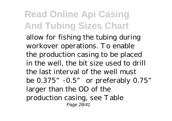allow for fishing the tubing during workover operations. To enable the production casing to be placed in the well, the bit size used to drill the last interval of the well must be 0.375"-0.5" or preferably 0.75" larger than the OD of the production casing, see Table Page 28/41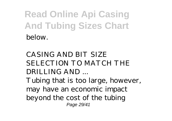CASING AND BIT SIZE SELECTION TO MATCH THE DRILLING AND ...

Tubing that is too large, however, may have an economic impact beyond the cost of the tubing Page 29/41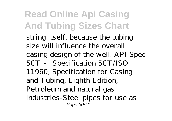string itself, because the tubing size will influence the overall casing design of the well. API Spec 5CT – Specification 5CT/ISO 11960, Specification for Casing and Tubing, Eighth Edition, Petroleum and natural gas industries-Steel pipes for use as Page 30/41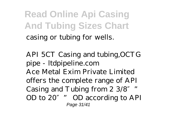**Read Online Api Casing And Tubing Sizes Chart** casing or tubing for wells.

API 5CT Casing and tubing,OCTG pipe - ltdpipeline.com Ace Metal Exim Private Limited offers the complete range of API Casing and Tubing from  $2 \frac{3}{8}$ OD to 20″" OD according to API Page 31/41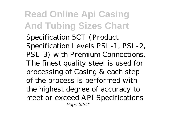Specification 5CT (Product Specification Levels PSL-1, PSL-2, PSL-3) with Premium Connections. The finest quality steel is used for processing of Casing & each step of the process is performed with the highest degree of accuracy to meet or exceed API Specifications Page 32/41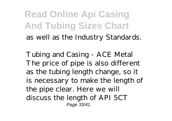#### **Read Online Api Casing And Tubing Sizes Chart** as well as the Industry Standards.

Tubing and Casing - ACE Metal The price of pipe is also different as the tubing length change, so it is necessary to make the length of the pipe clear. Here we will discuss the length of API 5CT Page 33/41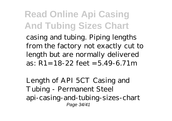casing and tubing. Piping lengths from the factory not exactly cut to length but are normally delivered as: R1=18-22 feet =5.49-6.71m

Length of API 5CT Casing and Tubing - Permanent Steel api-casing-and-tubing-sizes-chart Page 34/41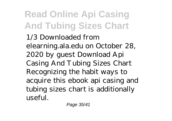1/3 Downloaded from elearning.ala.edu on October 28, 2020 by guest Download Api Casing And Tubing Sizes Chart Recognizing the habit ways to acquire this ebook api casing and tubing sizes chart is additionally useful.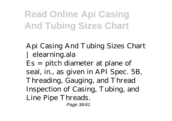Api Casing And Tubing Sizes Chart | elearning.ala Es = pitch diameter at plane of seal, in., as given in API Spec. 5B, Threading, Gauging, and Thread Inspection of Casing, Tubing, and Line Pipe Threads. Page 36/41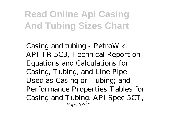Casing and tubing - PetroWiki API TR 5C3, Technical Report on Equations and Calculations for Casing, Tubing, and Line Pipe Used as Casing or Tubing; and Performance Properties Tables for Casing and Tubing. API Spec 5CT, Page 37/41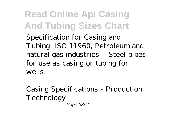Specification for Casing and Tubing. ISO 11960, Petroleum and natural gas industries - Steel pipes for use as casing or tubing for wells.

Casing Specifications - Production Technology Page 38/41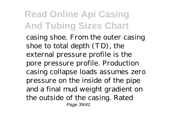casing shoe. From the outer casing shoe to total depth (TD), the external pressure profile is the pore pressure profile. Production casing collapse loads assumes zero pressure on the inside of the pipe and a final mud weight gradient on the outside of the casing. Rated Page 39/41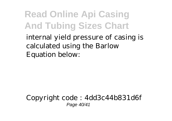internal yield pressure of casing is calculated using the Barlow Equation below:

Copyright code : 4dd3c44b831d6f Page 40/41